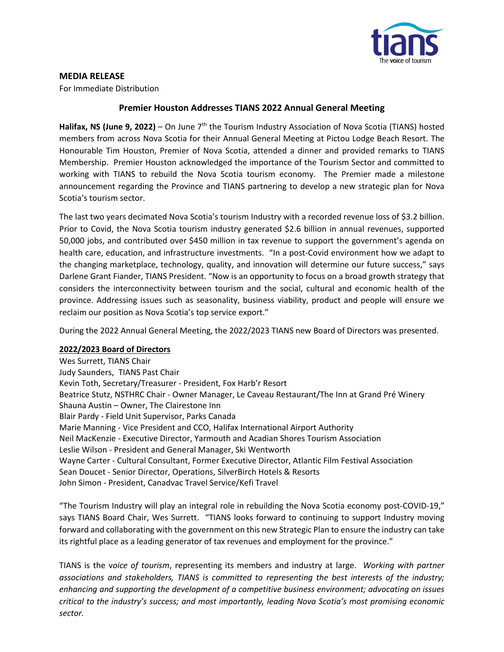

## **MEDIA RELEASE**

For Immediate Distribution

## **Premier Houston Addresses TIANS 2022 Annual General Meeting**

Halifax, NS (June 9, 2022) – On June 7<sup>th</sup> the Tourism Industry Association of Nova Scotia (TIANS) hosted members from across Nova Scotia for their Annual General Meeting at Pictou Lodge Beach Resort. The Honourable Tim Houston, Premier of Nova Scotia, attended a dinner and provided remarks to TIANS Membership. Premier Houston acknowledged the importance of the Tourism Sector and committed to working with TIANS to rebuild the Nova Scotia tourism economy. The Premier made a milestone announcement regarding the Province and TIANS partnering to develop a new strategic plan for Nova Scotia's tourism sector.

The last two years decimated Nova Scotia's tourism Industry with a recorded revenue loss of \$3.2 billion. Prior to Covid, the Nova Scotia tourism industry generated \$2.6 billion in annual revenues, supported 50,000 jobs, and contributed over \$450 million in tax revenue to support the government's agenda on health care, education, and infrastructure investments. "In a post-Covid environment how we adapt to the changing marketplace, technology, quality, and innovation will determine our future success," says Darlene Grant Fiander, TIANS President. "Now is an opportunity to focus on a broad growth strategy that considers the interconnectivity between tourism and the social, cultural and economic health of the province. Addressing issues such as seasonality, business viability, product and people will ensure we reclaim our position as Nova Scotia's top service export."

During the 2022 Annual General Meeting, the 2022/2023 TIANS new Board of Directors was presented.

## **2022/2023 Board of Directors**

Wes Surrett, TIANS Chair Judy Saunders, TIANS Past Chair Kevin Toth, Secretary/Treasurer - President, Fox Harb'r Resort Beatrice Stutz, NSTHRC Chair - Owner Manager, Le Caveau Restaurant/The Inn at Grand Pré Winery Shauna Austin – Owner, The Clairestone Inn Blair Pardy - Field Unit Supervisor, Parks Canada Marie Manning - Vice President and CCO, Halifax International Airport Authority Neil MacKenzie - Executive Director, Yarmouth and Acadian Shores Tourism Association Leslie Wilson - President and General Manager, Ski Wentworth Wayne Carter - Cultural Consultant, Former Executive Director, Atlantic Film Festival Association Sean Doucet - Senior Director, Operations, SilverBirch Hotels & Resorts John Simon - President, Canadvac Travel Service/Kefi Travel

"The Tourism Industry will play an integral role in rebuilding the Nova Scotia economy post-COVID-19," says TIANS Board Chair, Wes Surrett. "TIANS looks forward to continuing to support Industry moving forward and collaborating with the government on this new Strategic Plan to ensure the industry can take its rightful place as a leading generator of tax revenues and employment for the province."

TIANS is the v*oice of tourism*, representing its members and industry at large. *Working with partner associations and stakeholders, TIANS is committed to representing the best interests of the industry; enhancing and supporting the development of a competitive business environment; advocating on issues critical to the industry's success; and most importantly, leading Nova Scotia's most promising economic sector.*